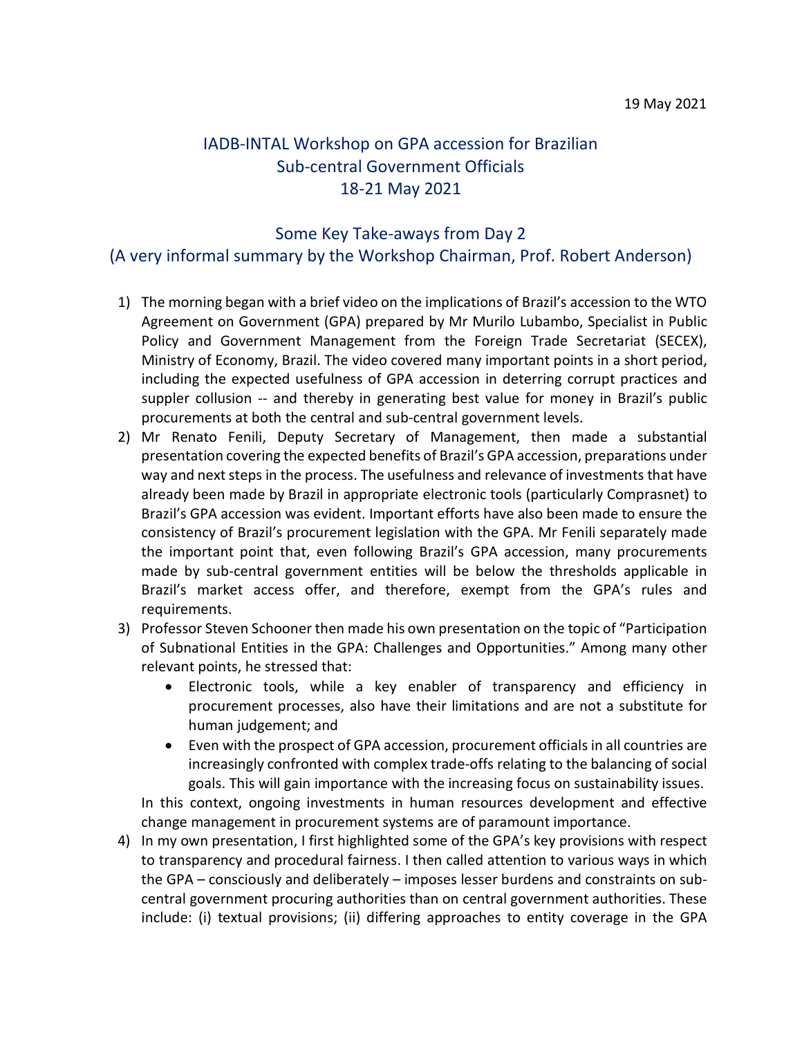## IADB-INTAL Workshop on GPA accession for Brazilian Sub-central Government Officials 18-21 May 2021

## Some Key Take-aways from Day 2

## (A very informal summary by the Workshop Chairman, Prof. Robert Anderson)

- 1) The morning began with a brief video on the implications of Brazil's accession to the WTO Agreement on Government (GPA) prepared by Mr Murilo Lubambo, Specialist in Public Policy and Government Management from the Foreign Trade Secretariat (SECEX), Ministry of Economy, Brazil. The video covered many important points in a short period, including the expected usefulness of GPA accession in deterring corrupt practices and suppler collusion -- and thereby in generating best value for money in Brazil's public procurements at both the central and sub-central government levels.
- 2) Mr Renato Fenili, Deputy Secretary of Management, then made a substantial presentation covering the expected benefits of Brazil's GPA accession, preparations under way and next steps in the process. The usefulness and relevance of investments that have already been made by Brazil in appropriate electronic tools (particularly Comprasnet) to Brazil's GPA accession was evident. Important efforts have also been made to ensure the consistency of Brazil's procurement legislation with the GPA. Mr Fenili separately made the important point that, even following Brazil's GPA accession, many procurements made by sub-central government entities will be below the thresholds applicable in Brazil's market access offer, and therefore, exempt from the GPA's rules and requirements.
- 3) Professor Steven Schooner then made his own presentation on the topic of "Participation of Subnational Entities in the GPA: Challenges and Opportunities." Among many other relevant points, he stressed that:
	- Electronic tools, while a key enabler of transparency and efficiency in procurement processes, also have their limitations and are not a substitute for human judgement; and
	- Even with the prospect of GPA accession, procurement officials in all countries are increasingly confronted with complex trade-offs relating to the balancing of social goals. This will gain importance with the increasing focus on sustainability issues.

In this context, ongoing investments in human resources development and effective change management in procurement systems are of paramount importance.

4) In my own presentation, I first highlighted some of the GPA's key provisions with respect to transparency and procedural fairness. I then called attention to various ways in which the GPA – consciously and deliberately – imposes lesser burdens and constraints on subcentral government procuring authorities than on central government authorities. These include: (i) textual provisions; (ii) differing approaches to entity coverage in the GPA